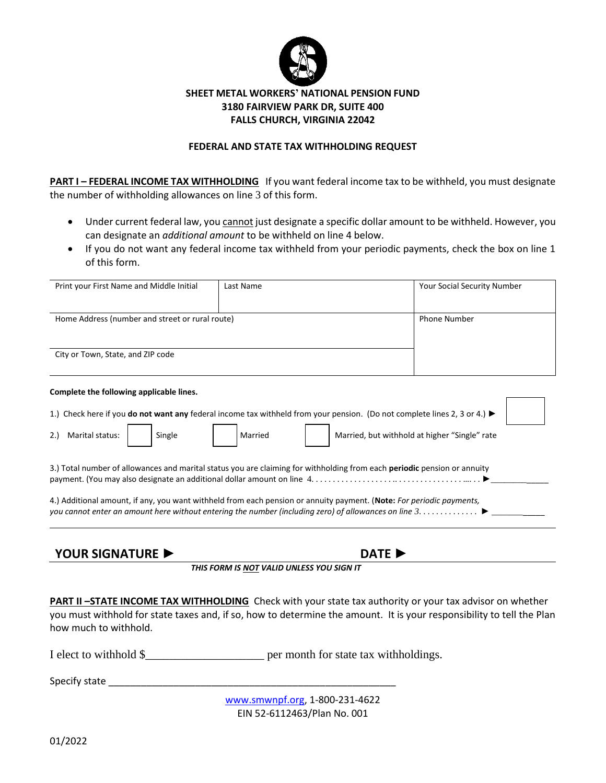

## **SHEET METAL WORKERS' NATIONAL PENSION FUND 3180 FAIRVIEW PARK DR, SUITE 400 FALLS CHURCH, VIRGINIA 22042**

## **FEDERAL AND STATE TAX WITHHOLDING REQUEST**

**PART I – FEDERAL INCOME TAX WITHHOLDING** If you want federal income tax to be withheld, you must designate the number of withholding allowances on line 3 of this form.

- Under current federal law, you cannot just designate a specific dollar amount to be withheld. However, you can designate an *additional amount* to be withheld on line 4 below.
- If you do not want any federal income tax withheld from your periodic payments, check the box on line 1 of this form.

| 4.) Additional amount, if any, you want withheld from each pension or annuity payment. (Note: For periodic payments,      |                                               |
|---------------------------------------------------------------------------------------------------------------------------|-----------------------------------------------|
| 3.) Total number of allowances and marital status you are claiming for withholding from each periodic pension or annuity  |                                               |
| Married                                                                                                                   | Married, but withhold at higher "Single" rate |
| 1.) Check here if you do not want any federal income tax withheld from your pension. (Do not complete lines 2, 3 or 4.) ► |                                               |
|                                                                                                                           |                                               |
|                                                                                                                           |                                               |
|                                                                                                                           |                                               |
| Home Address (number and street or rural route)                                                                           | <b>Phone Number</b>                           |
|                                                                                                                           | Your Social Security Number                   |
|                                                                                                                           | Last Name                                     |

**PART II -STATE INCOME TAX WITHHOLDING** Check with your state tax authority or your tax advisor on whether you must withhold for state taxes and, if so, how to determine the amount. It is your responsibility to tell the Plan how much to withhold.

I elect to withhold  $\frac{1}{2}$  per month for state tax withholdings.

Specify state  $\Box$ 

[www.smwnpf.org,](http://www.smwnpf.org/) 1-800-231-4622 EIN 52-6112463/Plan No. 001